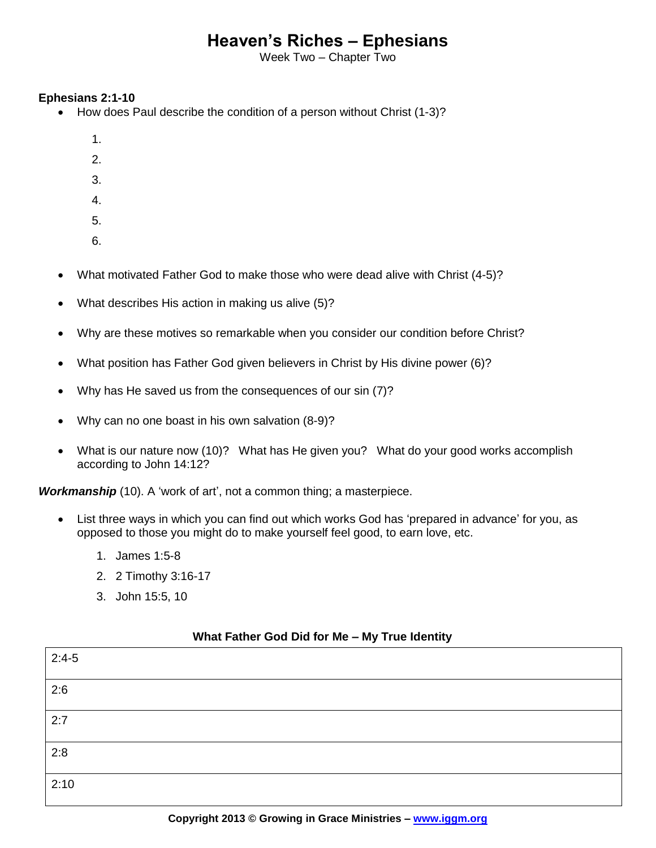## **Heaven's Riches – Ephesians**

Week Two – Chapter Two

## **Ephesians 2:1-10**

- How does Paul describe the condition of a person without Christ (1-3)?
	- 1.
	- 2.
	- 3.
	- 4.
	- 5.
	- 6.
- What motivated Father God to make those who were dead alive with Christ (4-5)?
- What describes His action in making us alive (5)?
- Why are these motives so remarkable when you consider our condition before Christ?
- What position has Father God given believers in Christ by His divine power (6)?
- Why has He saved us from the consequences of our sin (7)?
- Why can no one boast in his own salvation (8-9)?
- What is our nature now (10)? What has He given you? What do your good works accomplish according to John 14:12?

*Workmanship* (10). A 'work of art', not a common thing; a masterpiece.

- List three ways in which you can find out which works God has 'prepared in advance' for you, as opposed to those you might do to make yourself feel good, to earn love, etc.
	- 1. James 1:5-8
	- 2. 2 Timothy 3:16-17
	- 3. John 15:5, 10

## **What Father God Did for Me – My True Identity**

| $2:4-5$ |  |
|---------|--|
| 2:6     |  |
| 2:7     |  |
| 2:8     |  |
| 2:10    |  |